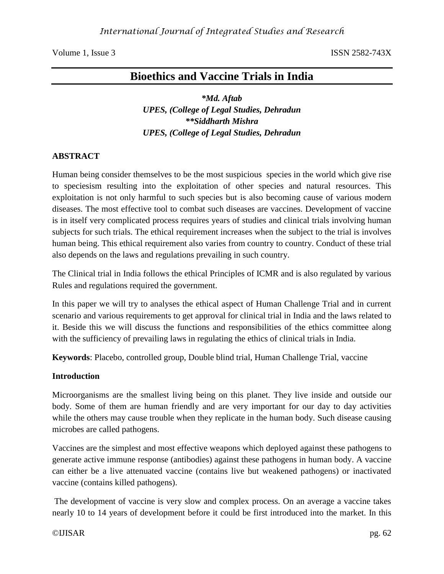# **Bioethics and Vaccine Trials in India**

*\*Md. Aftab UPES, (College of Legal Studies, Dehradun \*\*Siddharth Mishra UPES, (College of Legal Studies, Dehradun*

### **ABSTRACT**

Human being consider themselves to be the most suspicious species in the world which give rise to speciesism resulting into the exploitation of other species and natural resources. This exploitation is not only harmful to such species but is also becoming cause of various modern diseases. The most effective tool to combat such diseases are vaccines. Development of vaccine is in itself very complicated process requires years of studies and clinical trials involving human subjects for such trials. The ethical requirement increases when the subject to the trial is involves human being. This ethical requirement also varies from country to country. Conduct of these trial also depends on the laws and regulations prevailing in such country.

The Clinical trial in India follows the ethical Principles of ICMR and is also regulated by various Rules and regulations required the government.

In this paper we will try to analyses the ethical aspect of Human Challenge Trial and in current scenario and various requirements to get approval for clinical trial in India and the laws related to it. Beside this we will discuss the functions and responsibilities of the ethics committee along with the sufficiency of prevailing laws in regulating the ethics of clinical trials in India.

**Keywords**: Placebo, controlled group, Double blind trial, Human Challenge Trial, vaccine

### **Introduction**

Microorganisms are the smallest living being on this planet. They live inside and outside our body. Some of them are human friendly and are very important for our day to day activities while the others may cause trouble when they replicate in the human body. Such disease causing microbes are called pathogens.

Vaccines are the simplest and most effective weapons which deployed against these pathogens to generate active immune response (antibodies) against these pathogens in human body. A vaccine can either be a live attenuated vaccine (contains live but weakened pathogens) or inactivated vaccine (contains killed pathogens).

The development of vaccine is very slow and complex process. On an average a vaccine takes nearly 10 to 14 years of development before it could be first introduced into the market. In this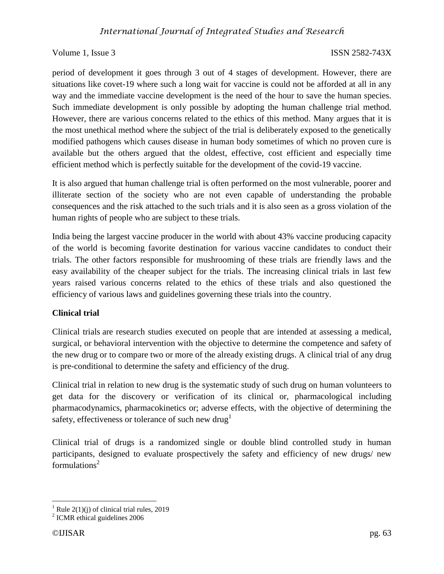period of development it goes through 3 out of 4 stages of development. However, there are situations like covet-19 where such a long wait for vaccine is could not be afforded at all in any way and the immediate vaccine development is the need of the hour to save the human species. Such immediate development is only possible by adopting the human challenge trial method. However, there are various concerns related to the ethics of this method. Many argues that it is the most unethical method where the subject of the trial is deliberately exposed to the genetically modified pathogens which causes disease in human body sometimes of which no proven cure is available but the others argued that the oldest, effective, cost efficient and especially time efficient method which is perfectly suitable for the development of the covid-19 vaccine.

It is also argued that human challenge trial is often performed on the most vulnerable, poorer and illiterate section of the society who are not even capable of understanding the probable consequences and the risk attached to the such trials and it is also seen as a gross violation of the human rights of people who are subject to these trials.

India being the largest vaccine producer in the world with about 43% vaccine producing capacity of the world is becoming favorite destination for various vaccine candidates to conduct their trials. The other factors responsible for mushrooming of these trials are friendly laws and the easy availability of the cheaper subject for the trials. The increasing clinical trials in last few years raised various concerns related to the ethics of these trials and also questioned the efficiency of various laws and guidelines governing these trials into the country.

# **Clinical trial**

Clinical trials are research studies executed on people that are intended at assessing a medical, surgical, or behavioral intervention with the objective to determine the competence and safety of the new drug or to compare two or more of the already existing drugs. A clinical trial of any drug is pre-conditional to determine the safety and efficiency of the drug.

Clinical trial in relation to new drug is the systematic study of such drug on human volunteers to get data for the discovery or verification of its clinical or, pharmacological including pharmacodynamics, pharmacokinetics or; adverse effects, with the objective of determining the safety, effectiveness or tolerance of such new drug<sup>1</sup>

Clinical trial of drugs is a randomized single or double blind controlled study in human participants, designed to evaluate prospectively the safety and efficiency of new drugs/ new formulations<sup>2</sup>

 $\overline{\phantom{a}}$ <sup>1</sup> Rule 2(1)(j) of clinical trial rules, 2019

<sup>&</sup>lt;sup>2</sup> ICMR ethical guidelines 2006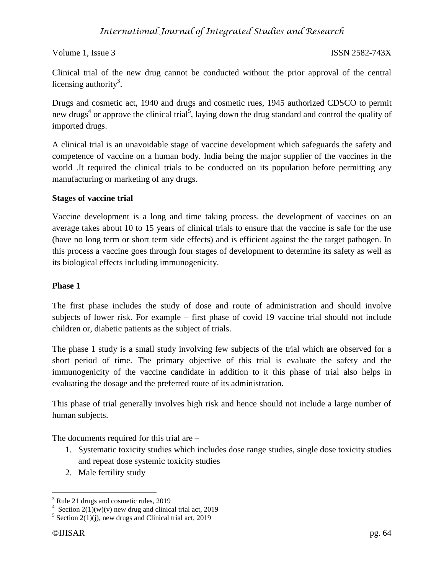Clinical trial of the new drug cannot be conducted without the prior approval of the central licensing authority<sup>3</sup>.

Drugs and cosmetic act, 1940 and drugs and cosmetic rues, 1945 authorized CDSCO to permit new drugs<sup>4</sup> or approve the clinical trial<sup>5</sup>, laying down the drug standard and control the quality of imported drugs.

A clinical trial is an unavoidable stage of vaccine development which safeguards the safety and competence of vaccine on a human body. India being the major supplier of the vaccines in the world .It required the clinical trials to be conducted on its population before permitting any manufacturing or marketing of any drugs.

### **Stages of vaccine trial**

Vaccine development is a long and time taking process. the development of vaccines on an average takes about 10 to 15 years of clinical trials to ensure that the vaccine is safe for the use (have no long term or short term side effects) and is efficient against the the target pathogen. In this process a vaccine goes through four stages of development to determine its safety as well as its biological effects including immunogenicity.

### **Phase 1**

The first phase includes the study of dose and route of administration and should involve subjects of lower risk. For example – first phase of covid 19 vaccine trial should not include children or, diabetic patients as the subject of trials.

The phase 1 study is a small study involving few subjects of the trial which are observed for a short period of time. The primary objective of this trial is evaluate the safety and the immunogenicity of the vaccine candidate in addition to it this phase of trial also helps in evaluating the dosage and the preferred route of its administration.

This phase of trial generally involves high risk and hence should not include a large number of human subjects.

The documents required for this trial are –

- 1. Systematic toxicity studies which includes dose range studies, single dose toxicity studies and repeat dose systemic toxicity studies
- 2. Male fertility study

 $\overline{\phantom{a}}$ <sup>3</sup> Rule 21 drugs and cosmetic rules, 2019

<sup>&</sup>lt;sup>4</sup> Section 2(1)(w)(v) new drug and clinical trial act, 2019

 $5$  Section 2(1)(j), new drugs and Clinical trial act, 2019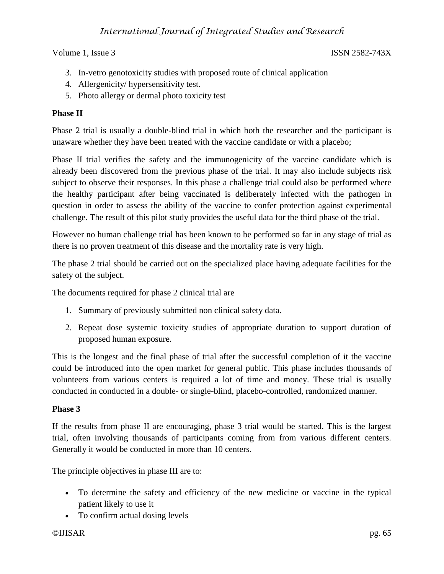# *International Journal of Integrated Studies and Research*

Volume 1, Issue 3 ISSN 2582-743X

- 3. In-vetro genotoxicity studies with proposed route of clinical application
- 4. Allergenicity/ hypersensitivity test.
- 5. Photo allergy or dermal photo toxicity test

# **Phase II**

Phase 2 trial is usually a double-blind trial in which both the researcher and the participant is unaware whether they have been treated with the vaccine candidate or with a placebo;

Phase II trial verifies the safety and the immunogenicity of the vaccine candidate which is already been discovered from the previous phase of the trial. It may also include subjects risk subject to observe their responses. In this phase a challenge trial could also be performed where the healthy participant after being vaccinated is deliberately infected with the pathogen in question in order to assess the ability of the vaccine to confer protection against experimental challenge. The result of this pilot study provides the useful data for the third phase of the trial.

However no human challenge trial has been known to be performed so far in any stage of trial as there is no proven treatment of this disease and the mortality rate is very high.

The phase 2 trial should be carried out on the specialized place having adequate facilities for the safety of the subject.

The documents required for phase 2 clinical trial are

- 1. Summary of previously submitted non clinical safety data.
- 2. Repeat dose systemic toxicity studies of appropriate duration to support duration of proposed human exposure.

This is the longest and the final phase of trial after the successful completion of it the vaccine could be introduced into the open market for general public. This phase includes thousands of volunteers from various centers is required a lot of time and money. These trial is usually conducted in conducted in a double- or single-blind, placebo-controlled, randomized manner.

### **Phase 3**

If the results from phase II are encouraging, phase 3 trial would be started. This is the largest trial, often involving thousands of participants coming from from various different centers. Generally it would be conducted in more than 10 centers.

The principle objectives in phase III are to:

- To determine the safety and efficiency of the new medicine or vaccine in the typical patient likely to use it
- To confirm actual dosing levels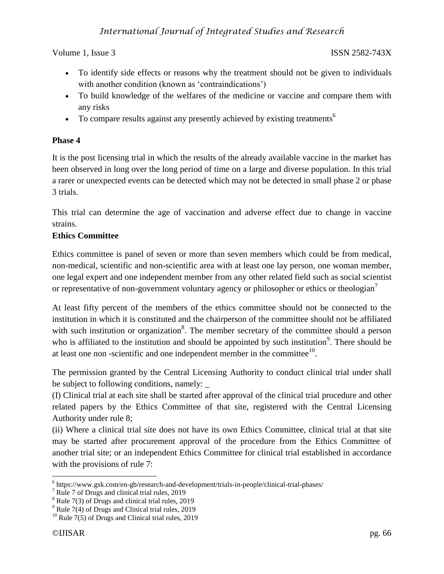- To identify side effects or reasons why the treatment should not be given to individuals with another condition (known as 'contraindications')
- To build knowledge of the welfares of the medicine or vaccine and compare them with any risks
- To compare results against any presently achieved by existing treatments<sup>6</sup>

# **Phase 4**

It is the post licensing trial in which the results of the already available vaccine in the market has been observed in long over the long period of time on a large and diverse population. In this trial a rarer or unexpected events can be detected which may not be detected in small phase 2 or phase 3 trials.

This trial can determine the age of vaccination and adverse effect due to change in vaccine strains.

# **Ethics Committee**

Ethics committee is panel of seven or more than seven members which could be from medical, non-medical, scientific and non-scientific area with at least one lay person, one woman member, one legal expert and one independent member from any other related field such as social scientist or representative of non-government voluntary agency or philosopher or ethics or theologian<sup>7</sup>

At least fifty percent of the members of the ethics committee should not be connected to the institution in which it is constituted and the chairperson of the committee should not be affiliated with such institution or organization<sup>8</sup>. The member secretary of the committee should a person who is affiliated to the institution and should be appointed by such institution<sup>9</sup>. There should be at least one non-scientific and one independent member in the committee $10$ .

The permission granted by the Central Licensing Authority to conduct clinical trial under shall be subject to following conditions, namely:

(I) Clinical trial at each site shall be started after approval of the clinical trial procedure and other related papers by the Ethics Committee of that site, registered with the Central Licensing Authority under rule 8;

(ii) Where a clinical trial site does not have its own Ethics Committee, clinical trial at that site may be started after procurement approval of the procedure from the Ethics Committee of another trial site; or an independent Ethics Committee for clinical trial established in accordance with the provisions of rule 7:

 $\overline{a}$ <sup>6</sup> https://www.gsk.com/en-gb/research-and-development/trials-in-people/clinical-trial-phases/

<sup>&</sup>lt;sup>7</sup> Rule 7 of Drugs and clinical trial rules, 2019

<sup>&</sup>lt;sup>8</sup> Rule 7(3) of Drugs and clinical trial rules, 2019

 $9^9$  Rule 7(4) of Drugs and Clinical trial rules, 2019

 $10$  Rule 7(5) of Drugs and Clinical trial rules, 2019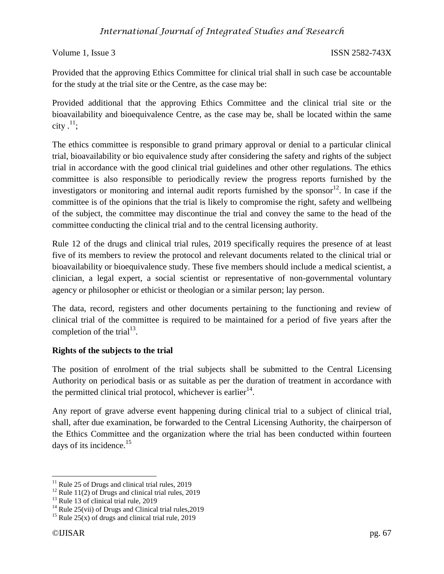Provided that the approving Ethics Committee for clinical trial shall in such case be accountable for the study at the trial site or the Centre, as the case may be:

Provided additional that the approving Ethics Committee and the clinical trial site or the bioavailability and bioequivalence Centre, as the case may be, shall be located within the same city  $.^{11}$ ;

The ethics committee is responsible to grand primary approval or denial to a particular clinical trial, bioavailability or bio equivalence study after considering the safety and rights of the subject trial in accordance with the good clinical trial guidelines and other other regulations. The ethics committee is also responsible to periodically review the progress reports furnished by the investigators or monitoring and internal audit reports furnished by the sponsor<sup>12</sup>. In case if the committee is of the opinions that the trial is likely to compromise the right, safety and wellbeing of the subject, the committee may discontinue the trial and convey the same to the head of the committee conducting the clinical trial and to the central licensing authority.

Rule 12 of the drugs and clinical trial rules, 2019 specifically requires the presence of at least five of its members to review the protocol and relevant documents related to the clinical trial or bioavailability or bioequivalence study. These five members should include a medical scientist, a clinician, a legal expert, a social scientist or representative of non-governmental voluntary agency or philosopher or ethicist or theologian or a similar person; lay person.

The data, record, registers and other documents pertaining to the functioning and review of clinical trial of the committee is required to be maintained for a period of five years after the completion of the trial $^{13}$ .

# **Rights of the subjects to the trial**

The position of enrolment of the trial subjects shall be submitted to the Central Licensing Authority on periodical basis or as suitable as per the duration of treatment in accordance with the permitted clinical trial protocol, whichever is earlier<sup>14</sup>.

Any report of grave adverse event happening during clinical trial to a subject of clinical trial, shall, after due examination, be forwarded to the Central Licensing Authority, the chairperson of the Ethics Committee and the organization where the trial has been conducted within fourteen days of its incidence.<sup>15</sup>

 $\overline{a}$  $11$  Rule 25 of Drugs and clinical trial rules, 2019

<sup>&</sup>lt;sup>12</sup> Rule 11(2) of Drugs and clinical trial rules, 2019

 $13$  Rule 13 of clinical trial rule, 2019

<sup>&</sup>lt;sup>14</sup> Rule 25(vii) of Drugs and Clinical trial rules,  $2019$ 

<sup>&</sup>lt;sup>15</sup> Rule 25(x) of drugs and clinical trial rule, 2019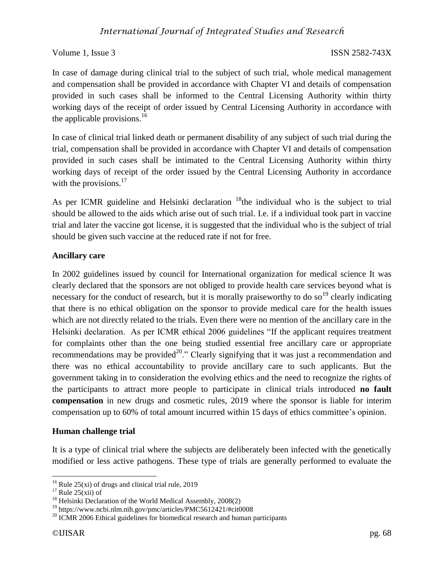In case of damage during clinical trial to the subject of such trial, whole medical management and compensation shall be provided in accordance with Chapter VI and details of compensation provided in such cases shall be informed to the Central Licensing Authority within thirty working days of the receipt of order issued by Central Licensing Authority in accordance with the applicable provisions.<sup>16</sup>

In case of clinical trial linked death or permanent disability of any subject of such trial during the trial, compensation shall be provided in accordance with Chapter VI and details of compensation provided in such cases shall be intimated to the Central Licensing Authority within thirty working days of receipt of the order issued by the Central Licensing Authority in accordance with the provisions. $17$ 

As per ICMR guideline and Helsinki declaration  $^{18}$ the individual who is the subject to trial should be allowed to the aids which arise out of such trial. I.e. if a individual took part in vaccine trial and later the vaccine got license, it is suggested that the individual who is the subject of trial should be given such vaccine at the reduced rate if not for free.

# **Ancillary care**

In 2002 guidelines issued by council for International organization for medical science It was clearly declared that the sponsors are not obliged to provide health care services beyond what is necessary for the conduct of research, but it is morally praiseworthy to do so<sup>19</sup> clearly indicating that there is no ethical obligation on the sponsor to provide medical care for the health issues which are not directly related to the trials. Even there were no mention of the ancillary care in the Helsinki declaration. As per ICMR ethical 2006 guidelines "If the applicant requires treatment for complaints other than the one being studied essential free ancillary care or appropriate recommendations may be provided<sup>20</sup>." Clearly signifying that it was just a recommendation and there was no ethical accountability to provide ancillary care to such applicants. But the government taking in to consideration the evolving ethics and the need to recognize the rights of the participants to attract more people to participate in clinical trials introduced **no fault compensation** in new drugs and cosmetic rules, 2019 where the sponsor is liable for interim compensation up to 60% of total amount incurred within 15 days of ethics committee's opinion.

# **Human challenge trial**

It is a type of clinical trial where the subjects are deliberately been infected with the genetically modified or less active pathogens. These type of trials are generally performed to evaluate the

 $\overline{a}$  $16$  Rule 25(xi) of drugs and clinical trial rule, 2019

 $17$  Rule 25(xii) of

<sup>&</sup>lt;sup>18</sup> Helsinki Declaration of the World Medical Assembly, 2008(2)

<sup>19</sup> https://www.ncbi.nlm.nih.gov/pmc/articles/PMC5612421/#cit0008

 $20$  ICMR 2006 Ethical guidelines for biomedical research and human participants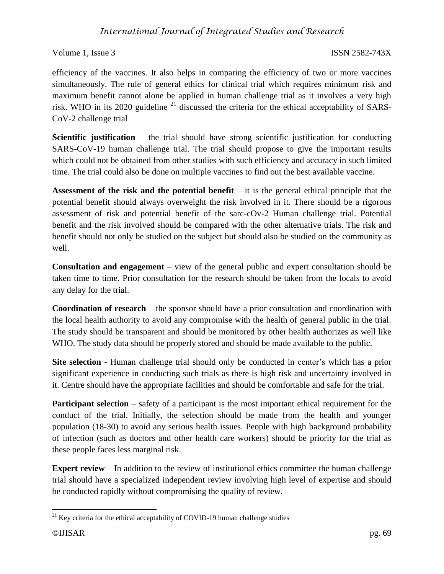# *International Journal of Integrated Studies and Research*

### Volume 1, Issue 3 ISSN 2582-743X

efficiency of the vaccines. It also helps in comparing the efficiency of two or more vaccines simultaneously. The rule of general ethics for clinical trial which requires minimum risk and maximum benefit cannot alone be applied in human challenge trial as it involves a very high risk. WHO in its 2020 guideline  $^{21}$  discussed the criteria for the ethical acceptability of SARS-CoV-2 challenge trial

**Scientific justification** – the trial should have strong scientific justification for conducting SARS-CoV-19 human challenge trial. The trial should propose to give the important results which could not be obtained from other studies with such efficiency and accuracy in such limited time. The trial could also be done on multiple vaccines to find out the best available vaccine.

**Assessment of the risk and the potential benefit** – it is the general ethical principle that the potential benefit should always overweight the risk involved in it. There should be a rigorous assessment of risk and potential benefit of the sarc-cOv-2 Human challenge trial. Potential benefit and the risk involved should be compared with the other alternative trials. The risk and benefit should not only be studied on the subject but should also be studied on the community as well.

**Consultation and engagement** – view of the general public and expert consultation should be taken time to time. Prior consultation for the research should be taken from the locals to avoid any delay for the trial.

**Coordination of research** – the sponsor should have a prior consultation and coordination with the local health authority to avoid any compromise with the health of general public in the trial. The study should be transparent and should be monitored by other health authorizes as well like WHO. The study data should be properly stored and should be made available to the public.

**Site selection** - Human challenge trial should only be conducted in center's which has a prior significant experience in conducting such trials as there is high risk and uncertainty involved in it. Centre should have the appropriate facilities and should be comfortable and safe for the trial.

**Participant selection** – safety of a participant is the most important ethical requirement for the conduct of the trial. Initially, the selection should be made from the health and younger population (18-30) to avoid any serious health issues. People with high background probability of infection (such as doctors and other health care workers) should be priority for the trial as these people faces less marginal risk.

**Expert review** – In addition to the review of institutional ethics committee the human challenge trial should have a specialized independent review involving high level of expertise and should be conducted rapidly without compromising the quality of review.

 $\overline{\phantom{a}}$  $21$  Key criteria for the ethical acceptability of COVID-19 human challenge studies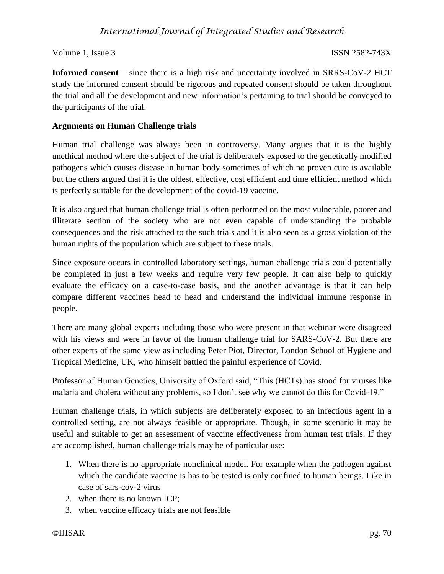**Informed consent** – since there is a high risk and uncertainty involved in SRRS-CoV-2 HCT study the informed consent should be rigorous and repeated consent should be taken throughout the trial and all the development and new information's pertaining to trial should be conveyed to the participants of the trial.

# **Arguments on Human Challenge trials**

Human trial challenge was always been in controversy. Many argues that it is the highly unethical method where the subject of the trial is deliberately exposed to the genetically modified pathogens which causes disease in human body sometimes of which no proven cure is available but the others argued that it is the oldest, effective, cost efficient and time efficient method which is perfectly suitable for the development of the covid-19 vaccine.

It is also argued that human challenge trial is often performed on the most vulnerable, poorer and illiterate section of the society who are not even capable of understanding the probable consequences and the risk attached to the such trials and it is also seen as a gross violation of the human rights of the population which are subject to these trials.

Since exposure occurs in controlled laboratory settings, human challenge trials could potentially be completed in just a few weeks and require very few people. It can also help to quickly evaluate the efficacy on a case-to-case basis, and the another advantage is that it can help compare different vaccines head to head and understand the individual immune response in people.

There are many global experts including those who were present in that webinar were disagreed with his views and were in favor of the human challenge trial for SARS-CoV-2. But there are other experts of the same view as including Peter Piot, Director, London School of Hygiene and Tropical Medicine, UK, who himself battled the painful experience of Covid.

Professor of Human Genetics, University of Oxford said, "This (HCTs) has stood for viruses like malaria and cholera without any problems, so I don't see why we cannot do this for Covid-19."

Human challenge trials, in which subjects are deliberately exposed to an infectious agent in a controlled setting, are not always feasible or appropriate. Though, in some scenario it may be useful and suitable to get an assessment of vaccine effectiveness from human test trials. If they are accomplished, human challenge trials may be of particular use:

- 1. When there is no appropriate nonclinical model. For example when the pathogen against which the candidate vaccine is has to be tested is only confined to human beings. Like in case of sars-cov-2 virus
- 2. when there is no known ICP;
- 3. when vaccine efficacy trials are not feasible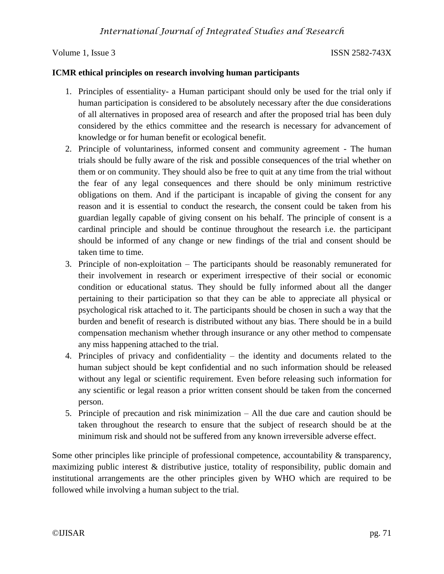### **ICMR ethical principles on research involving human participants**

- 1. Principles of essentiality- a Human participant should only be used for the trial only if human participation is considered to be absolutely necessary after the due considerations of all alternatives in proposed area of research and after the proposed trial has been duly considered by the ethics committee and the research is necessary for advancement of knowledge or for human benefit or ecological benefit.
- 2. Principle of voluntariness, informed consent and community agreement The human trials should be fully aware of the risk and possible consequences of the trial whether on them or on community. They should also be free to quit at any time from the trial without the fear of any legal consequences and there should be only minimum restrictive obligations on them. And if the participant is incapable of giving the consent for any reason and it is essential to conduct the research, the consent could be taken from his guardian legally capable of giving consent on his behalf. The principle of consent is a cardinal principle and should be continue throughout the research i.e. the participant should be informed of any change or new findings of the trial and consent should be taken time to time.
- 3. Principle of non-exploitation The participants should be reasonably remunerated for their involvement in research or experiment irrespective of their social or economic condition or educational status. They should be fully informed about all the danger pertaining to their participation so that they can be able to appreciate all physical or psychological risk attached to it. The participants should be chosen in such a way that the burden and benefit of research is distributed without any bias. There should be in a build compensation mechanism whether through insurance or any other method to compensate any miss happening attached to the trial.
- 4. Principles of privacy and confidentiality the identity and documents related to the human subject should be kept confidential and no such information should be released without any legal or scientific requirement. Even before releasing such information for any scientific or legal reason a prior written consent should be taken from the concerned person.
- 5. Principle of precaution and risk minimization All the due care and caution should be taken throughout the research to ensure that the subject of research should be at the minimum risk and should not be suffered from any known irreversible adverse effect.

Some other principles like principle of professional competence, accountability & transparency, maximizing public interest & distributive justice, totality of responsibility, public domain and institutional arrangements are the other principles given by WHO which are required to be followed while involving a human subject to the trial.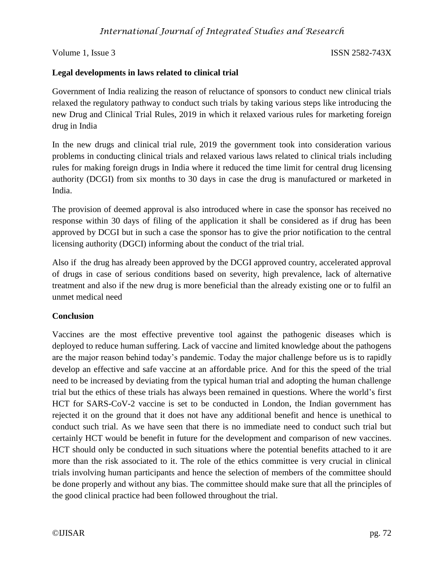### **Legal developments in laws related to clinical trial**

Government of India realizing the reason of reluctance of sponsors to conduct new clinical trials relaxed the regulatory pathway to conduct such trials by taking various steps like introducing the new Drug and Clinical Trial Rules, 2019 in which it relaxed various rules for marketing foreign drug in India

In the new drugs and clinical trial rule, 2019 the government took into consideration various problems in conducting clinical trials and relaxed various laws related to clinical trials including rules for making foreign drugs in India where it reduced the time limit for central drug licensing authority (DCGI) from six months to 30 days in case the drug is manufactured or marketed in India.

The provision of deemed approval is also introduced where in case the sponsor has received no response within 30 days of filing of the application it shall be considered as if drug has been approved by DCGI but in such a case the sponsor has to give the prior notification to the central licensing authority (DGCI) informing about the conduct of the trial trial.

Also if the drug has already been approved by the DCGI approved country, accelerated approval of drugs in case of serious conditions based on severity, high prevalence, lack of alternative treatment and also if the new drug is more beneficial than the already existing one or to fulfil an unmet medical need

# **Conclusion**

Vaccines are the most effective preventive tool against the pathogenic diseases which is deployed to reduce human suffering. Lack of vaccine and limited knowledge about the pathogens are the major reason behind today's pandemic. Today the major challenge before us is to rapidly develop an effective and safe vaccine at an affordable price. And for this the speed of the trial need to be increased by deviating from the typical human trial and adopting the human challenge trial but the ethics of these trials has always been remained in questions. Where the world's first HCT for SARS-CoV-2 vaccine is set to be conducted in London, the Indian government has rejected it on the ground that it does not have any additional benefit and hence is unethical to conduct such trial. As we have seen that there is no immediate need to conduct such trial but certainly HCT would be benefit in future for the development and comparison of new vaccines. HCT should only be conducted in such situations where the potential benefits attached to it are more than the risk associated to it. The role of the ethics committee is very crucial in clinical trials involving human participants and hence the selection of members of the committee should be done properly and without any bias. The committee should make sure that all the principles of the good clinical practice had been followed throughout the trial.